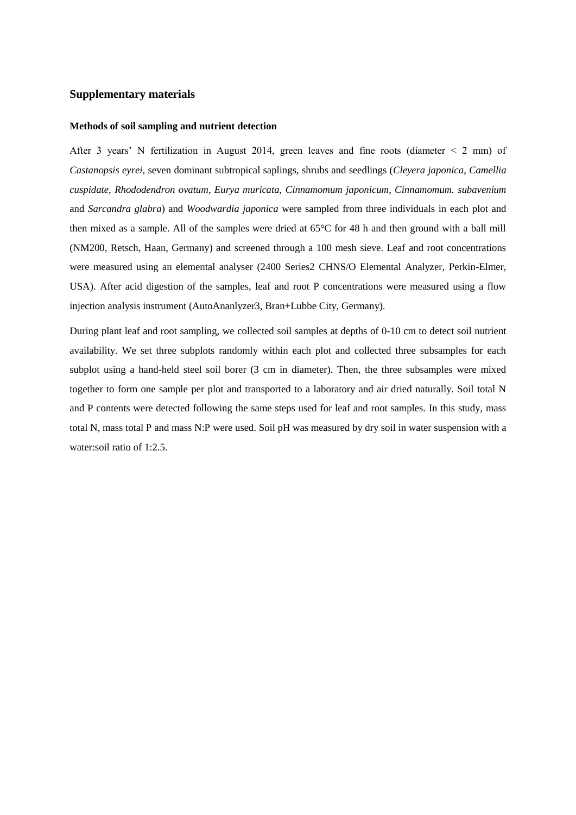## **Supplementary materials**

## **Methods of soil sampling and nutrient detection**

After 3 years' N fertilization in August 2014, green leaves and fine roots (diameter < 2 mm) of *Castanopsis eyrei,* seven dominant subtropical saplings, shrubs and seedlings (*Cleyera japonica*, *Camellia cuspidate*, *Rhododendron ovatum*, *Eurya muricata*, *Cinnamomum japonicum*, *Cinnamomum. subavenium*  and *Sarcandra glabra*) and *Woodwardia japonica* were sampled from three individuals in each plot and then mixed as a sample. All of the samples were dried at  $65 \text{ °C}$  for 48 h and then ground with a ball mill (NM200, Retsch, Haan, Germany) and screened through a 100 mesh sieve. Leaf and root concentrations were measured using an elemental analyser (2400 Series2 CHNS/O Elemental Analyzer, Perkin-Elmer, USA). After acid digestion of the samples, leaf and root P concentrations were measured using a flow injection analysis instrument (AutoAnanlyzer3, Bran+Lubbe City, Germany).

During plant leaf and root sampling, we collected soil samples at depths of 0-10 cm to detect soil nutrient availability. We set three subplots randomly within each plot and collected three subsamples for each subplot using a hand-held steel soil borer (3 cm in diameter). Then, the three subsamples were mixed together to form one sample per plot and transported to a laboratory and air dried naturally. Soil total N and P contents were detected following the same steps used for leaf and root samples. In this study, mass total N, mass total P and mass N:P were used. Soil pH was measured by dry soil in water suspension with a water:soil ratio of 1:2.5.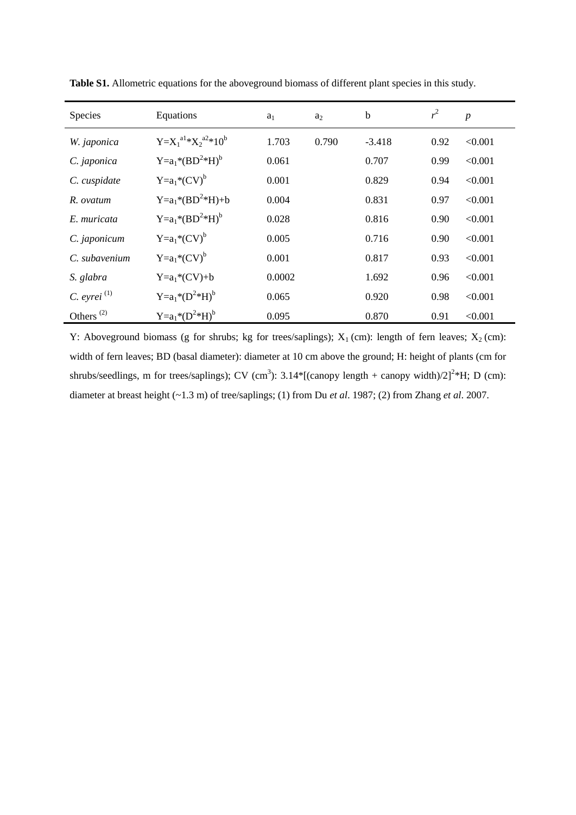| Species                            | Equations                   | a <sub>1</sub> | $a_2$ | b        | r <sup>2</sup> | $\boldsymbol{p}$ |
|------------------------------------|-----------------------------|----------------|-------|----------|----------------|------------------|
| W. japonica                        | $Y=X_1^{a1} *X_2^{a2}*10^b$ | 1.703          | 0.790 | $-3.418$ | 0.92           | < 0.001          |
| C. japonica                        | $Y=a_1* (BD^2*H)^b$         | 0.061          |       | 0.707    | 0.99           | < 0.001          |
| C. cuspidate                       | $Y=a_1* (CV)^b$             | 0.001          |       | 0.829    | 0.94           | < 0.001          |
| R. ovatum                          | $Y=a_1* (BD^2*H)+b$         | 0.004          |       | 0.831    | 0.97           | < 0.001          |
| E. muricata                        | $Y=a_1* (BD^2*H)^b$         | 0.028          |       | 0.816    | 0.90           | < 0.001          |
| C. japonicum                       | $Y=a_1* (CV)^b$             | 0.005          |       | 0.716    | 0.90           | < 0.001          |
| C. subavenium                      | $Y=a_1* (CV)^b$             | 0.001          |       | 0.817    | 0.93           | < 0.001          |
| S. glabra                          | $Y=a_1*(CV)+b$              | 0.0002         |       | 1.692    | 0.96           | < 0.001          |
| $C.$ eyrei $(1)$                   | $Y=a_1* (D^2*H)^b$          | 0.065          |       | 0.920    | 0.98           | < 0.001          |
| Others <sup><math>(2)</math></sup> | $Y=a_1*({D}^2*H)^b$         | 0.095          |       | 0.870    | 0.91           | < 0.001          |

**Table S1.** Allometric equations for the aboveground biomass of different plant species in this study.

Y: Aboveground biomass (g for shrubs; kg for trees/saplings);  $X_1$  (cm): length of fern leaves;  $X_2$  (cm): width of fern leaves; BD (basal diameter): diameter at 10 cm above the ground; H: height of plants (cm for shrubs/seedlings, m for trees/saplings); CV (cm<sup>3</sup>):  $3.14*[$  (canopy length + canopy width)/2]<sup>2</sup>\*H; D (cm): diameter at breast height (~1.3 m) of tree/saplings; (1) from Du *et al*. 1987; (2) from Zhang *et al*. 2007.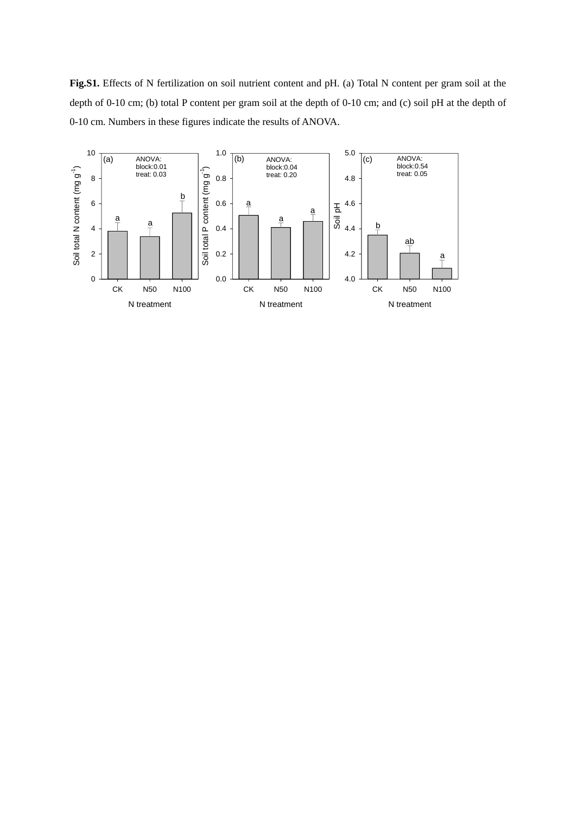**Fig.S1.** Effects of N fertilization on soil nutrient content and pH. (a) Total N content per gram soil at the depth of 0-10 cm; (b) total P content per gram soil at the depth of 0-10 cm; and (c) soil pH at the depth of 0-10 cm. Numbers in these figures indicate the results of ANOVA.

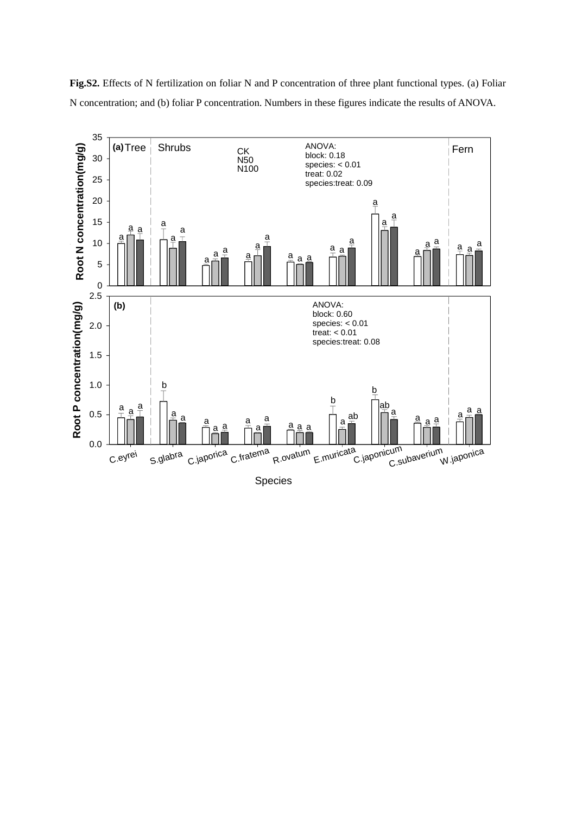

**Fig.S2.** Effects of N fertilization on foliar N and P concentration of three plant functional types. (a) Foliar N concentration; and (b) foliar P concentration. Numbers in these figures indicate the results of ANOVA.